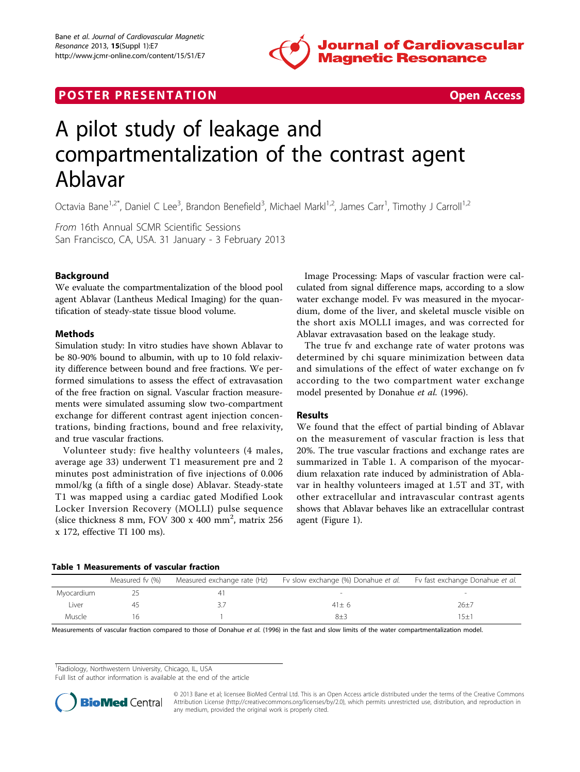

# **POSTER PRESENTATION CONSUMING THE SECOND CONSUMING THE SECOND CONSUMING THE SECOND CONSUMING THE SECOND CONSUMING THE SECOND CONSUMING THE SECOND CONSUMING THE SECOND CONSUMING THE SECOND CONSUMING THE SECOND CONSUMING**



# A pilot study of leakage and compartmentalization of the contrast agent Ablavar

Octavia Bane<sup>1,2\*</sup>, Daniel C Lee<sup>3</sup>, Brandon Benefield<sup>3</sup>, Michael Markl<sup>1,2</sup>, James Carr<sup>1</sup>, Timothy J Carroll<sup>1,2</sup>

From 16th Annual SCMR Scientific Sessions San Francisco, CA, USA. 31 January - 3 February 2013

# Background

We evaluate the compartmentalization of the blood pool agent Ablavar (Lantheus Medical Imaging) for the quantification of steady-state tissue blood volume.

# Methods

Simulation study: In vitro studies have shown Ablavar to be 80-90% bound to albumin, with up to 10 fold relaxivity difference between bound and free fractions. We performed simulations to assess the effect of extravasation of the free fraction on signal. Vascular fraction measurements were simulated assuming slow two-compartment exchange for different contrast agent injection concentrations, binding fractions, bound and free relaxivity, and true vascular fractions.

Volunteer study: five healthy volunteers (4 males, average age 33) underwent T1 measurement pre and 2 minutes post administration of five injections of 0.006 mmol/kg (a fifth of a single dose) Ablavar. Steady-state T1 was mapped using a cardiac gated Modified Look Locker Inversion Recovery (MOLLI) pulse sequence (slice thickness 8 mm, FOV 300 x 400 mm<sup>2</sup>, matrix 256 x 172, effective TI 100 ms).

Image Processing: Maps of vascular fraction were calculated from signal difference maps, according to a slow water exchange model. Fv was measured in the myocardium, dome of the liver, and skeletal muscle visible on the short axis MOLLI images, and was corrected for Ablavar extravasation based on the leakage study.

The true fv and exchange rate of water protons was determined by chi square minimization between data and simulations of the effect of water exchange on fv according to the two compartment water exchange model presented by Donahue et al. (1996).

# Results

We found that the effect of partial binding of Ablavar on the measurement of vascular fraction is less that 20%. The true vascular fractions and exchange rates are summarized in Table 1. A comparison of the myocardium relaxation rate induced by administration of Ablavar in healthy volunteers imaged at 1.5T and 3T, with other extracellular and intravascular contrast agents shows that Ablavar behaves like an extracellular contrast agent (Figure [1\)](#page-1-0).

#### Table 1 Measurements of vascular fraction

|            | Measured fv (%) | Measured exchange rate (Hz) | Fv slow exchange (%) Donahue et al. | Fv fast exchange Donahue et al. |
|------------|-----------------|-----------------------------|-------------------------------------|---------------------------------|
| Myocardium |                 |                             |                                     |                                 |
| Liver      |                 |                             | $41+6$                              | 26±7                            |
| Muscle     |                 |                             | $8+3$                               | $5 + 7$                         |

Measurements of vascular fraction compared to those of Donahue et al. (1996) in the fast and slow limits of the water compartmentalization model.

<sup>1</sup> Radiology, Northwestern University, Chicago, IL, USA

Full list of author information is available at the end of the article



© 2013 Bane et al; licensee BioMed Central Ltd. This is an Open Access article distributed under the terms of the Creative Commons Attribution License [\(http://creativecommons.org/licenses/by/2.0](http://creativecommons.org/licenses/by/2.0)), which permits unrestricted use, distribution, and reproduction in any medium, provided the original work is properly cited.